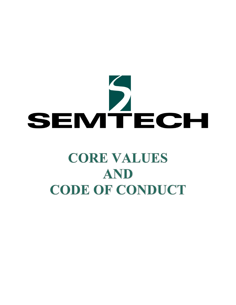# SEMTECH

# **CORE VALUES AND CODE OF CONDUCT**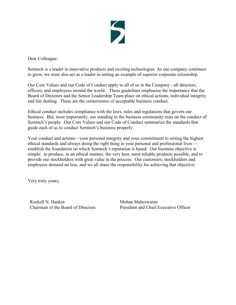

Dear Colleague:

Semtech is a leader in innovative products and exciting technologies. As our company continues to grow, we must also act as a leader in setting an example of superior corporate citizenship.

Our Core Values and our Code of Conduct apply to all of us in the Company - all directors, officers, and employees around the world. These guidelines emphasize the importance that the Board of Directors and the Senior Leadership Team place on ethical actions, individual integrity and fair dealing. These are the cornerstones of acceptable business conduct.

Ethical conduct includes compliance with the laws, rules and regulations that govern our business. But, most importantly, our standing in the business community rests on the conduct of Semtech's people. Our Core Values and our Code of Conduct summarize the standards that guide each of us to conduct Semtech's business properly.

Your conduct and actions—your personal integrity and your commitment to setting the highest ethical standards and always doing the right thing in your personal and professional lives establish the foundation on which Semtech's reputation is based. Our business objective is simple: to produce, in an ethical manner, the very best, most reliable products possible, and to provide our stockholders with great value in the process. Our customers, stockholders and employees demand no less, and we all share the responsibility for achieving that objective.

Very truly yours,

Rockell N. Hankin Chairman of the Board of Directors

Mohan Maheswaran President and Chief Executive Officer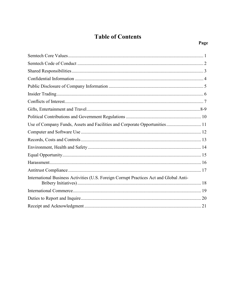## **Table of Contents**

| Use of Company Funds, Assets and Facilities and Corporate Opportunities 11             |
|----------------------------------------------------------------------------------------|
|                                                                                        |
|                                                                                        |
|                                                                                        |
|                                                                                        |
|                                                                                        |
|                                                                                        |
| International Business Activities (U.S. Foreign Corrupt Practices Act and Global Anti- |
|                                                                                        |
|                                                                                        |
|                                                                                        |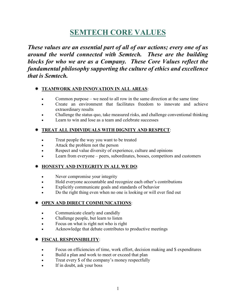# **SEMTECH CORE VALUES**

*These values are an essential part of all of our actions; every one of us around the world connected with Semtech. These are the building blocks for who we are as a Company. These Core Values reflect the fundamental philosophy supporting the culture of ethics and excellence that is Semtech.*

### **TEAMWORK AND INNOVATION IN ALL AREAS**:

- Common purpose we need to all row in the same direction at the same time
- Create an environment that facilitates freedom to innovate and achieve extraordinary results
- Challenge the status quo, take measured risks, and challenge conventional thinking
- Learn to win and lose as a team and celebrate successes

### **TREAT ALL INDIVIDUALS WITH DIGNITY AND RESPECT**:

- Treat people the way you want to be treated
- Attack the problem not the person
- Respect and value diversity of experience, culture and opinions
- Learn from everyone peers, subordinates, bosses, competitors and customers

### **HONESTY AND INTEGRITY IN ALL WE DO**:

- Never compromise your integrity
- Hold everyone accountable and recognize each other's contributions
- Explicitly communicate goals and standards of behavior
- Do the right thing even when no one is looking or will ever find out

### **OPEN AND DIRECT COMMUNICATIONS**:

- Communicate clearly and candidly
- Challenge people, but learn to listen
- Focus on what is right not who is right
- Acknowledge that debate contributes to productive meetings

### **FISCAL RESPONSIBILITY**:

- Focus on efficiencies of time, work effort, decision making and \$ expenditures
- Build a plan and work to meet or exceed that plan
- Treat every \$ of the company's money respectfully
- If in doubt, ask your boss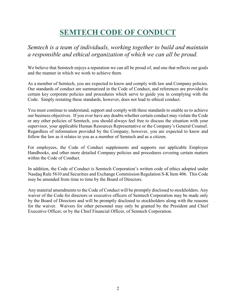# **SEMTECH CODE OF CONDUCT**

### *Semtech is a team of individuals, working together to build and maintain a responsible and ethical organization of which we can all be proud.*

We believe that Semtech enjoys a reputation we can all be proud of, and one that reflects our goals and the manner in which we work to achieve them.

As a member of Semtech, you are expected to know and comply with law and Company policies. Our standards of conduct are summarized in the Code of Conduct, and references are provided to certain key corporate policies and procedures which serve to guide you in complying with the Code. Simply restating these standards, however, does not lead to ethical conduct.

You must continue to understand, support and comply with these standards to enable us to achieve our business objectives. If you ever have any doubts whether certain conduct may violate the Code or any other policies of Semtech, you should always feel free to discuss the situation with your supervisor, your applicable Human Resources Representative or the Company's General Counsel. Regardless of information provided by the Company, however, you are expected to know and follow the law as it relates to you as a member of Semtech and as a citizen.

For employees, the Code of Conduct supplements and supports our applicable Employee Handbooks, and other more detailed Company policies and procedures covering certain matters within the Code of Conduct.

In addition, the Code of Conduct is Semtech Corporation's written code of ethics adopted under Nasdaq Rule 5610 and Securities and Exchange Commission Regulation S-K Item 406. This Code may be amended from time to time by the Board of Directors.

Any material amendments to the Code of Conduct will be promptly disclosed to stockholders. Any waiver of the Code for directors or executive officers of Semtech Corporation may be made only by the Board of Directors and will be promptly disclosed to stockholders along with the reasons for the waiver. Waivers for other personnel may only be granted by the President and Chief Executive Officer, or by the Chief Financial Officer, of Semtech Corporation.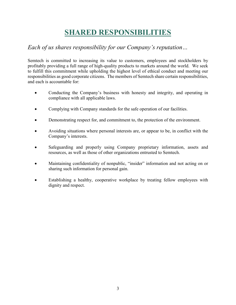# **SHARED RESPONSIBILITIES**

### *Each of us shares responsibility for our Company's reputation…*

Semtech is committed to increasing its value to customers, employees and stockholders by profitably providing a full range of high-quality products to markets around the world. We seek to fulfill this commitment while upholding the highest level of ethical conduct and meeting our responsibilities as good corporate citizens. The members of Semtech share certain responsibilities, and each is accountable for:

- Conducting the Company's business with honesty and integrity, and operating in compliance with all applicable laws.
- Complying with Company standards for the safe operation of our facilities.
- Demonstrating respect for, and commitment to, the protection of the environment.
- Avoiding situations where personal interests are, or appear to be, in conflict with the Company's interests.
- Safeguarding and properly using Company proprietary information, assets and resources, as well as those of other organizations entrusted to Semtech.
- Maintaining confidentiality of nonpublic, "insider" information and not acting on or sharing such information for personal gain.
- Establishing a healthy, cooperative workplace by treating fellow employees with dignity and respect.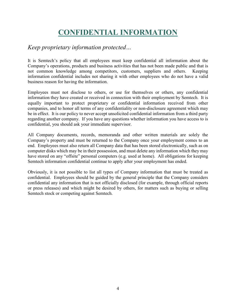# **CONFIDENTIAL INFORMATION**

### *Keep proprietary information protected…*

It is Semtech's policy that all employees must keep confidential all information about the Company's operations, products and business activities that has not been made public and that is not common knowledge among competitors, customers, suppliers and others. Keeping information confidential includes not sharing it with other employees who do not have a valid business reason for having the information.

Employees must not disclose to others, or use for themselves or others, any confidential information they have created or received in connection with their employment by Semtech. It is equally important to protect proprietary or confidential information received from other companies, and to honor all terms of any confidentiality or non-disclosure agreement which may be in effect. It is our policy to never accept unsolicited confidential information from a third party regarding another company. If you have any questions whether information you have access to is confidential, you should ask your immediate supervisor.

All Company documents, records, memoranda and other written materials are solely the Company's property and must be returned to the Company once your employment comes to an end. Employees must also return all Company data that has been stored electronically, such as on computer disks which may be in their possession, and must delete any information which they may have stored on any "offsite" personal computers (e.g. used at home). All obligations for keeping Semtech information confidential continue to apply after your employment has ended.

Obviously, it is not possible to list all types of Company information that must be treated as confidential. Employees should be guided by the general principle that the Company considers confidential any information that is not officially disclosed (for example, through official reports or press releases) and which might be desired by others, for matters such as buying or selling Semtech stock or competing against Semtech.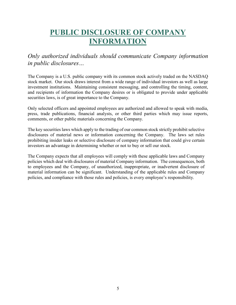# **PUBLIC DISCLOSURE OF COMPANY INFORMATION**

*Only authorized individuals should communicate Company information in public disclosures…*

The Company is a U.S. public company with its common stock actively traded on the NASDAQ stock market. Our stock draws interest from a wide range of individual investors as well as large investment institutions. Maintaining consistent messaging, and controlling the timing, content, and recipients of information the Company desires or is obligated to provide under applicable securities laws, is of great importance to the Company.

Only selected officers and appointed employees are authorized and allowed to speak with media, press, trade publications, financial analysts, or other third parties which may issue reports, comments, or other public materials concerning the Company.

The key securities laws which apply to the trading of our common stock strictly prohibit selective disclosures of material news or information concerning the Company. The laws set rules prohibiting insider leaks or selective disclosure of company information that could give certain investors an advantage in determining whether or not to buy or sell our stock.

The Company expects that all employees will comply with these applicable laws and Company policies which deal with disclosures of material Company information. The consequences, both to employees and the Company, of unauthorized, inappropriate, or inadvertent disclosure of material information can be significant. Understanding of the applicable rules and Company policies, and compliance with those rules and policies, is every employee's responsibility.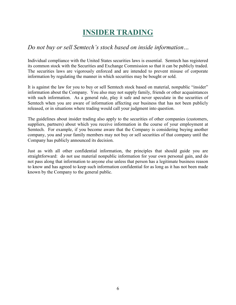# **INSIDER TRADING**

### *Do not buy or sell Semtech's stock based on inside information…*

Individual compliance with the United States securities laws is essential. Semtech has registered its common stock with the Securities and Exchange Commission so that it can be publicly traded. The securities laws are vigorously enforced and are intended to prevent misuse of corporate information by regulating the manner in which securities may be bought or sold.

It is against the law for you to buy or sell Semtech stock based on material, nonpublic "insider" information about the Company. You also may not supply family, friends or other acquaintances with such information. As a general rule, play it safe and never speculate in the securities of Semtech when you are aware of information affecting our business that has not been publicly released, or in situations where trading would call your judgment into question.

The guidelines about insider trading also apply to the securities of other companies (customers, suppliers, partners) about which you receive information in the course of your employment at Semtech. For example, if you become aware that the Company is considering buying another company, you and your family members may not buy or sell securities of that company until the Company has publicly announced its decision.

Just as with all other confidential information, the principles that should guide you are straightforward: do not use material nonpublic information for your own personal gain, and do not pass along that information to anyone else unless that person has a legitimate business reason to know and has agreed to keep such information confidential for as long as it has not been made known by the Company to the general public.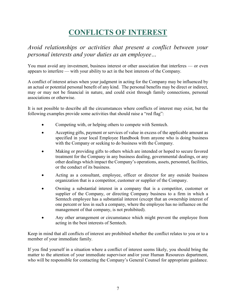# **CONFLICTS OF INTEREST**

*Avoid relationships or activities that present a conflict between your personal interests and your duties as an employee…*

You must avoid any investment, business interest or other association that interferes — or even appears to interfere — with your ability to act in the best interests of the Company.

A conflict of interest arises when your judgment in acting for the Company may be influenced by an actual or potential personal benefit of any kind. The personal benefits may be direct or indirect, may or may not be financial in nature, and could exist through family connections, personal associations or otherwise.

It is not possible to describe all the circumstances where conflicts of interest may exist, but the following examples provide some activities that should raise a "red flag":

- Competing with, or helping others to compete with Semtech.
- Accepting gifts, payment or services of value in excess of the applicable amount as specified in your local Employee Handbook from anyone who is doing business with the Company or seeking to do business with the Company.
- Making or providing gifts to others which are intended or hoped to secure favored treatment for the Company in any business dealing, governmental dealings, or any other dealings which impact the Company's operations, assets, personnel, facilities, or the conduct of its business.
- Acting as a consultant, employee, officer or director for any outside business organization that is a competitor, customer or supplier of the Company.
- Owning a substantial interest in a company that is a competitor, customer or supplier of the Company, or directing Company business to a firm in which a Semtech employee has a substantial interest (except that an ownership interest of one percent or less in such a company, where the employee has no influence on the management of that company, is not prohibited).
- Any other arrangement or circumstance which might prevent the employee from acting in the best interests of Semtech.

Keep in mind that all conflicts of interest are prohibited whether the conflict relates to you or to a member of your immediate family.

If you find yourself in a situation where a conflict of interest seems likely, you should bring the matter to the attention of your immediate supervisor and/or your Human Resources department, who will be responsible for contacting the Company's General Counsel for appropriate guidance.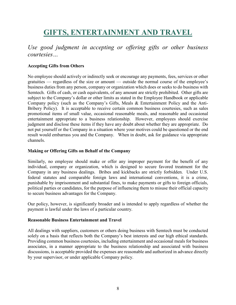# **GIFTS, ENTERTAINMENT AND TRAVEL**

### *Use good judgment in accepting or offering gifts or other business courtesies…*

### **Accepting Gifts from Others**

No employee should actively or indirectly seek or encourage any payments, fees, services or other gratuities — regardless of the size or amount — outside the normal course of the employee's business duties from any person, company or organization which does or seeks to do business with Semtech. Gifts of cash, or cash equivalents, of any amount are strictly prohibited. Other gifts are subject to the Company's dollar or other limits as stated in the Employee Handbook or applicable Company policy (such as the Company's Gifts, Meals & Entertainment Policy and the Anti-Bribery Policy). It is acceptable to receive certain common business courtesies, such as sales promotional items of small value, occasional reasonable meals, and reasonable and occasional entertainment appropriate to a business relationship. However, employees should exercise judgment and disclose these items if they have any doubt about whether they are appropriate. Do not put yourself or the Company in a situation where your motives could be questioned or the end result would embarrass you and the Company. When in doubt, ask for guidance via appropriate channels.

### **Making or Offering Gifts on Behalf of the Company**

Similarly, no employee should make or offer any improper payment for the benefit of any individual, company or organization, which is designed to secure favored treatment for the Company in any business dealings. Bribes and kickbacks are strictly forbidden. Under U.S. federal statutes and comparable foreign laws and international conventions, it is a crime, punishable by imprisonment and substantial fines, to make payments or gifts to foreign officials, political parties or candidates, for the purpose of influencing them to misuse their official capacity to secure business advantages for the Company.

Our policy, however, is significantly broader and is intended to apply regardless of whether the payment is lawful under the laws of a particular country.

### **Reasonable Business Entertainment and Travel**

All dealings with suppliers, customers or others doing business with Semtech must be conducted solely on a basis that reflects both the Company's best interests and our high ethical standards. Providing common business courtesies, including entertainment and occasional meals for business associates, in a manner appropriate to the business relationship and associated with business discussions, is acceptable provided the expenses are reasonable and authorized in advance directly by your supervisor, or under applicable Company policy.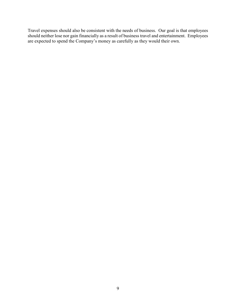Travel expenses should also be consistent with the needs of business. Our goal is that employees should neither lose nor gain financially as a result of business travel and entertainment. Employees are expected to spend the Company's money as carefully as they would their own.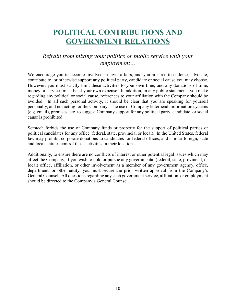# **POLITICAL CONTRIBUTIONS AND GOVERNMENT RELATIONS**

### *Refrain from mixing your politics or public service with your employment…*

We encourage you to become involved in civic affairs, and you are free to endorse, advocate, contribute to, or otherwise support any political party, candidate or social cause you may choose. However, you must strictly limit these activities to your own time, and any donations of time, money or services must be at your own expense. In addition, in any public statements you make regarding any political or social cause, references to your affiliation with the Company should be avoided. In all such personal activity, it should be clear that you are speaking for yourself personally, and not acting for the Company. The use of Company letterhead, information systems (e.g. email), premises, etc. to suggest Company support for any political party, candidate, or social cause is prohibited.

Semtech forbids the use of Company funds or property for the support of political parties or political candidates for any office (federal, state, provincial or local). In the United States, federal law may prohibit corporate donations to candidates for federal offices, and similar foreign, state and local statutes control these activities in their locations.

Additionally, to ensure there are no conflicts of interest or other potential legal issues which may affect the Company, if you wish to hold or pursue any governmental (federal, state, provincial, or local) office, affiliation, or other involvement as a member of any government agency, office, department, or other entity, you must secure the prior written approval from the Company's General Counsel. All questions regarding any such government service, affiliation, or employment should be directed to the Company's General Counsel.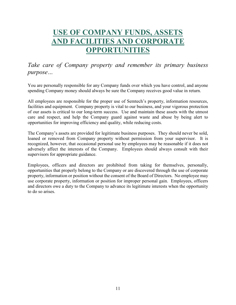# **USE OF COMPANY FUNDS, ASSETS AND FACILITIES AND CORPORATE OPPORTUNITIES**

### *Take care of Company property and remember its primary business purpose…*

You are personally responsible for any Company funds over which you have control, and anyone spending Company money should always be sure the Company receives good value in return.

All employees are responsible for the proper use of Semtech's property, information resources, facilities and equipment. Company property is vital to our business, and your vigorous protection of our assets is critical to our long-term success. Use and maintain these assets with the utmost care and respect, and help the Company guard against waste and abuse by being alert to opportunities for improving efficiency and quality, while reducing costs.

The Company's assets are provided for legitimate business purposes. They should never be sold, loaned or removed from Company property without permission from your supervisor. It is recognized, however, that occasional personal use by employees may be reasonable if it does not adversely affect the interests of the Company. Employees should always consult with their supervisors for appropriate guidance.

Employees, officers and directors are prohibited from taking for themselves, personally, opportunities that properly belong to the Company or are discovered through the use of corporate property, information or position without the consent of the Board of Directors. No employee may use corporate property, information or position for improper personal gain. Employees, officers and directors owe a duty to the Company to advance its legitimate interests when the opportunity to do so arises.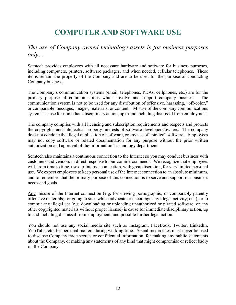# **COMPUTER AND SOFTWARE USE**

### *The use of Company-owned technology assets is for business purposes only…*

Semtech provides employees with all necessary hardware and software for business purposes, including computers, printers, software packages, and when needed, cellular telephones. These items remain the property of the Company and are to be used for the purpose of conducting Company business.

The Company's communication systems (email, telephones, PDAs, cellphones, etc.) are for the primary purpose of communications which involve and support company business. The communication system is not to be used for any distribution of offensive, harassing, "off-color," or comparable messages, images, materials, or content. Misuse of the company communications system is cause for immediate disciplinary action, up to and including dismissal from employment.

The company complies with all licensing and subscription requirements and respects and protects the copyrights and intellectual property interests of software developers/owners. The company does not condone the illegal duplication of software, or any use of "pirated" software. Employees may not copy software or related documentation for any purpose without the prior written authorization and approval of the Information Technology department.

Semtech also maintains a continuous connection to the Internet so you may conduct business with customers and vendors in direct response to our commercial needs. We recognize that employees will, from time to time, use our Internet connection, with great discretion, for very limited personal use. We expect employees to keep personal use of the Internet connection to an absolute minimum, and to remember that the primary purpose of this connection is to serve and support our business needs and goals.

Any misuse of the Internet connection (e.g. for viewing pornographic, or comparably patently offensive materials; for going to sites which advocate or encourage any illegal activity; etc.), or to commit any illegal act (e.g. downloading or uploading unauthorized or pirated software, or any other copyrighted materials without proper license) is cause for immediate disciplinary action, up to and including dismissal from employment, and possible further legal action.

You should not use any social media site such as Instagram, FaceBook, Twitter, LinkedIn, YouTube, etc. for personal matters during working time. Social media sites must never be used to disclose Company trade secrets or confidential information, for making any public statements about the Company, or making any statements of any kind that might compromise or reflect badly on the Company.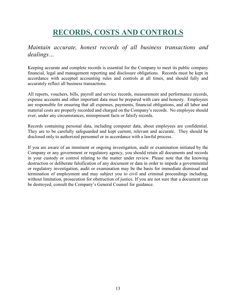# **RECORDS, COSTS AND CONTROLS**

### *Maintain accurate, honest records of all business transactions and dealings…*

Keeping accurate and complete records is essential for the Company to meet its public company financial, legal and management reporting and disclosure obligations. Records must be kept in accordance with accepted accounting rules and controls at all times, and should fully and accurately reflect all business transactions.

All reports, vouchers, bills, payroll and service records, measurement and performance records, expense accounts and other important data must be prepared with care and honesty. Employees are responsible for ensuring that all expenses, payments, financial obligations, and all labor and material costs are properly recorded and charged on the Company's records. No employee should ever, under any circumstances, misrepresent facts or falsify records.

Records containing personal data, including computer data, about employees are confidential. They are to be carefully safeguarded and kept current, relevant and accurate. They should be disclosed only to authorized personnel or in accordance with a lawful process.

If you are aware of an imminent or ongoing investigation, audit or examination initiated by the Company or any government or regulatory agency, you should retain all documents and records in your custody or control relating to the matter under review. Please note that the knowing destruction or deliberate falsification of any document or data in order to impede a governmental or regulatory investigation, audit or examination may be the basis for immediate dismissal and termination of employment and may subject you to civil and criminal proceedings including, without limitation, prosecution for obstruction of justice. If you are not sure that a document can be destroyed, consult the Company's General Counsel for guidance.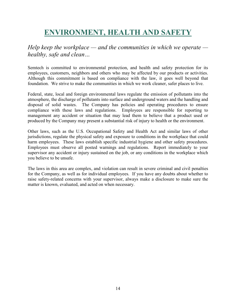# **ENVIRONMENT, HEALTH AND SAFETY**

### *Help keep the workplace — and the communities in which we operate healthy, safe and clean…*

Semtech is committed to environmental protection, and health and safety protection for its employees, customers, neighbors and others who may be affected by our products or activities. Although this commitment is based on compliance with the law, it goes well beyond that foundation. We strive to make the communities in which we work cleaner, safer places to live.

Federal, state, local and foreign environmental laws regulate the emission of pollutants into the atmosphere, the discharge of pollutants into surface and underground waters and the handling and disposal of solid wastes. The Company has policies and operating procedures to ensure compliance with these laws and regulations. Employees are responsible for reporting to management any accident or situation that may lead them to believe that a product used or produced by the Company may present a substantial risk of injury to health or the environment.

Other laws, such as the U.S. Occupational Safety and Health Act and similar laws of other jurisdictions, regulate the physical safety and exposure to conditions in the workplace that could harm employees. These laws establish specific industrial hygiene and other safety procedures. Employees must observe all posted warnings and regulations. Report immediately to your supervisor any accident or injury sustained on the job, or any conditions in the workplace which you believe to be unsafe.

The laws in this area are complex, and violation can result in severe criminal and civil penalties for the Company, as well as for individual employees. If you have any doubts about whether to raise safety-related concerns with your supervisor, always make a disclosure to make sure the matter is known, evaluated, and acted on when necessary.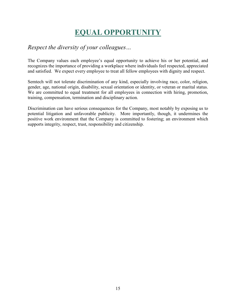# **EQUAL OPPORTUNITY**

### *Respect the diversity of your colleagues…*

The Company values each employee's equal opportunity to achieve his or her potential, and recognizes the importance of providing a workplace where individuals feel respected, appreciated and satisfied. We expect every employee to treat all fellow employees with dignity and respect.

Semtech will not tolerate discrimination of any kind, especially involving race, color, religion, gender, age, national origin, disability, sexual orientation or identity, or veteran or marital status. We are committed to equal treatment for all employees in connection with hiring, promotion, training, compensation, termination and disciplinary action.

Discrimination can have serious consequences for the Company, most notably by exposing us to potential litigation and unfavorable publicity. More importantly, though, it undermines the positive work environment that the Company is committed to fostering; an environment which supports integrity, respect, trust, responsibility and citizenship.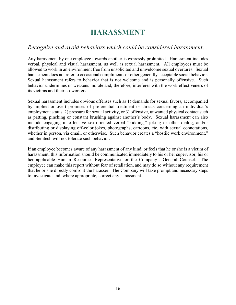# **HARASSMENT**

### *Recognize and avoid behaviors which could be considered harassment…*

Any harassment by one employee towards another is expressly prohibited. Harassment includes verbal, physical and visual harassment, as well as sexual harassment. All employees must be allowed to work in an environment free from unsolicited and unwelcome sexual overtures. Sexual harassment does not refer to occasional compliments or other generally acceptable social behavior. Sexual harassment refers to behavior that is not welcome and is personally offensive. Such behavior undermines or weakens morale and, therefore, interferes with the work effectiveness of its victims and their co-workers.

Sexual harassment includes obvious offenses such as 1) demands for sexual favors, accompanied by implied or overt promises of preferential treatment or threats concerning an individual's employment status, 2) pressure for sexual activity, or 3) offensive, unwanted physical contact such as patting, pinching or constant brushing against another's body. Sexual harassment can also include engaging in offensive sex-oriented verbal "kidding," joking or other dialog, and/or distributing or displaying off-color jokes, photographs, cartoons, etc. with sexual connotations, whether in person, via email, or otherwise. Such behavior creates a "hostile work environment," and Semtech will not tolerate such behavior.

If an employee becomes aware of any harassment of any kind, or feels that he or she is a victim of harassment, this information should be communicated immediately to his or her supervisor, his or her applicable Human Resources Representative or the Company's General Counsel. employee can make this report without fear of retaliation, and may do so without any requirement that he or she directly confront the harasser. The Company will take prompt and necessary steps to investigate and, where appropriate, correct any harassment.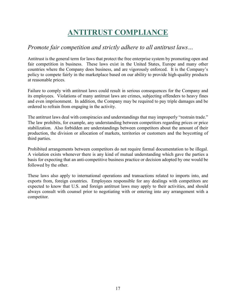# **ANTITRUST COMPLIANCE**

### *Promote fair competition and strictly adhere to all antitrust laws…*

Antitrust is the general term for laws that protect the free enterprise system by promoting open and fair competition in business. These laws exist in the United States, Europe and many other countries where the Company does business, and are vigorously enforced. It is the Company's policy to compete fairly in the marketplace based on our ability to provide high-quality products at reasonable prices.

Failure to comply with antitrust laws could result in serious consequences for the Company and its employees. Violations of many antitrust laws are crimes, subjecting offenders to heavy fines and even imprisonment. In addition, the Company may be required to pay triple damages and be ordered to refrain from engaging in the activity.

The antitrust laws deal with conspiracies and understandings that may improperly "restrain trade." The law prohibits, for example, any understanding between competitors regarding prices or price stabilization. Also forbidden are understandings between competitors about the amount of their production, the division or allocation of markets, territories or customers and the boycotting of third parties.

Prohibited arrangements between competitors do not require formal documentation to be illegal. A violation exists whenever there is any kind of mutual understanding which gave the parties a basis for expecting that an anti-competitive business practice or decision adopted by one would be followed by the other.

These laws also apply to international operations and transactions related to imports into, and exports from, foreign countries. Employees responsible for any dealings with competitors are expected to know that U.S. and foreign antitrust laws may apply to their activities, and should always consult with counsel prior to negotiating with or entering into any arrangement with a competitor.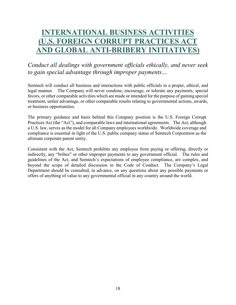# **INTERNATIONAL BUSINESS ACTIVITIES (U.S. FOREIGN CORRUPT PRACTICES AC AND GLOBAL ANTI-BRIBERY INITIATIVES)**

*Conduct all dealings with government officials ethically, and never seek to gain special advantage through improper payments…*

Semtech will conduct all business and interactions with public officials in a proper, ethical, and legal manner. The Company will never condone, encourage, or tolerate any payments, special favors, or other comparable activities which are made or intended for the purpose of gaining special treatment, unfair advantage, or other comparable results relating to governmental actions, awards, or business opportunities.

The primary guidance and basis behind this Company position is the U.S. Foreign Corrupt Practices Act (the "Act"), and comparable laws and international agreements. The Act, although a U.S. law, serves as the model for all Company employees worldwide. Worldwide coverage and compliance is essential in light of the U.S. public company status of Semtech Corporation as the ultimate corporate parent entity.

Consistent with the Act, Semtech prohibits any employee from paying or offering, directly or indirectly, any "bribes" or other improper payments to any government official. The rules and guidelines of the Act, and Semtech's expectations of employee compliance, are complex, and beyond the scope of detailed discussion in the Code of Conduct. The Company's Legal Department should be consulted, in advance, on any questions about any possible payments or offers of anything of value to any governmental official in any country around the world.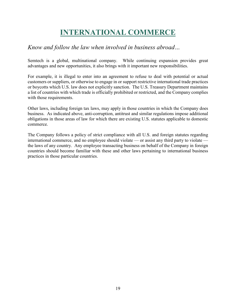# **INTERNATIONAL COMMERCE**

### *Know and follow the law when involved in business abroad…*

Semtech is a global, multinational company. While continuing expansion provides great advantages and new opportunities, it also brings with it important new responsibilities.

For example, it is illegal to enter into an agreement to refuse to deal with potential or actual customers or suppliers, or otherwise to engage in or support restrictive international trade practices or boycotts which U.S. law does not explicitly sanction. The U.S. Treasury Department maintains a list of countries with which trade is officially prohibited or restricted, and the Company complies with those requirements.

Other laws, including foreign tax laws, may apply in those countries in which the Company does business. As indicated above, anti-corruption, antitrust and similar regulations impose additional obligations in those areas of law for which there are existing U.S. statutes applicable to domestic commerce.

The Company follows a policy of strict compliance with all U.S. and foreign statutes regarding international commerce, and no employee should violate — or assist any third party to violate the laws of any country. Any employee transacting business on behalf of the Company in foreign countries should become familiar with these and other laws pertaining to international business practices in those particular countries.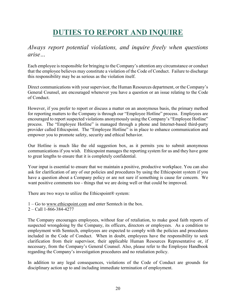# **DUTIES TO REPORT AND INQUIRE**

### *Always report potential violations, and inquire freely when questions arise…*

Each employee is responsible for bringing to the Company's attention any circumstance or conduct that the employee believes may constitute a violation of the Code of Conduct. Failure to discharge this responsibility may be as serious as the violation itself.

Direct communications with your supervisor, the Human Resources department, or the Company's General Counsel, are encouraged whenever you have a question or an issue relating to the Code of Conduct.

However, if you prefer to report or discuss a matter on an anonymous basis, the primary method for reporting matters to the Company is through our "Employee Hotline" process. Employees are encouraged to report suspected violations anonymously using the Company's "Employee Hotline" process. The "Employee Hotline" is managed through a phone and Internet-based third-party provider called Ethicspoint. The "Employee Hotline" is in place to enhance communication and empower you to promote safety, security and ethical behavior.

Our Hotline is much like the old suggestion box, as it permits you to submit anonymous communications if you wish. Ethicspoint manages the reporting system for us and they have gone to great lengths to ensure that it is completely confidential.

Your input is essential to ensure that we maintain a positive, productive workplace. You can also ask for clarification of any of our policies and procedures by using the Ethicspoint system if you have a question about a Company policy or are not sure if something is cause for concern. We want positive comments too - things that we are doing well or that could be improved.

There are two ways to utilize the Ethicspoint® system:

- 1 Go to www.ethicspoint.com and enter Semtech in the box.
- 2 Call 1-866-384-4277

The Company encourages employees, without fear of retaliation, to make good faith reports of suspected wrongdoing by the Company, its officers, directors or employees. As a condition to employment with Semtech, employees are expected to comply with the policies and procedures included in the Code of Conduct. When in doubt, employees have the responsibility to seek clarification from their supervisor, their applicable Human Resources Representative or, if necessary, from the Company's General Counsel. Also, please refer to the Employee Handbook regarding the Company's investigation procedures and no retaliation policy.

In addition to any legal consequences, violations of the Code of Conduct are grounds for disciplinary action up to and including immediate termination of employment.